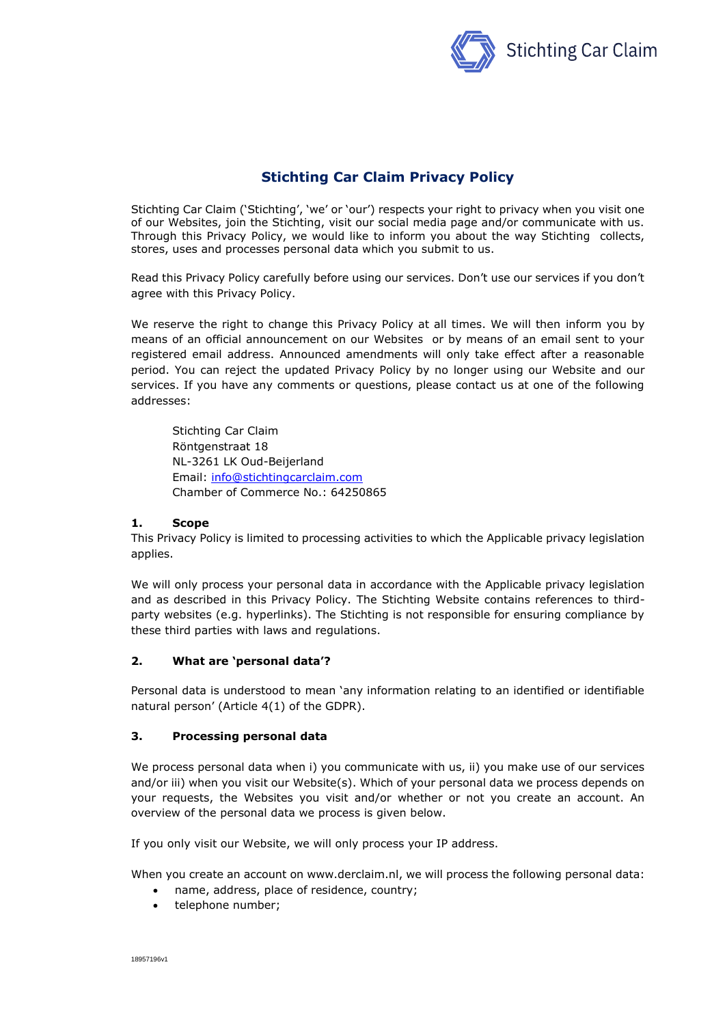

# **Stichting Car Claim Privacy Policy**

Stichting Car Claim ('Stichting', 'we' or 'our') respects your right to privacy when you visit one of our Websites, join the Stichting, visit our social media page and/or communicate with us. Through this Privacy Policy, we would like to inform you about the way Stichting collects, stores, uses and processes personal data which you submit to us.

Read this Privacy Policy carefully before using our services. Don't use our services if you don't agree with this Privacy Policy.

We reserve the right to change this Privacy Policy at all times. We will then inform you by means of an official announcement on our Websites or by means of an email sent to your registered email address. Announced amendments will only take effect after a reasonable period. You can reject the updated Privacy Policy by no longer using our Website and our services. If you have any comments or questions, please contact us at one of the following addresses:

Stichting Car Claim Röntgenstraat 18 NL-3261 LK Oud-Beijerland Email: [info@stichtingcarclaim.com](mailto:info@stichtingvolkswagencarclaim.com) Chamber of Commerce No.: 64250865

### **1. Scope**

This Privacy Policy is limited to processing activities to which the Applicable privacy legislation applies.

We will only process your personal data in accordance with the Applicable privacy legislation and as described in this Privacy Policy. The Stichting Website contains references to thirdparty websites (e.g. hyperlinks). The Stichting is not responsible for ensuring compliance by these third parties with laws and regulations.

# **2. What are 'personal data'?**

Personal data is understood to mean 'any information relating to an identified or identifiable natural person' (Article 4(1) of the GDPR).

# **3. Processing personal data**

We process personal data when i) you communicate with us, ii) you make use of our services and/or iii) when you visit our Website(s). Which of your personal data we process depends on your requests, the Websites you visit and/or whether or not you create an account. An overview of the personal data we process is given below.

If you only visit our Website, we will only process your IP address.

When you create an account on www.derclaim.nl, we will process the following personal data:

- name, address, place of residence, country;
- telephone number;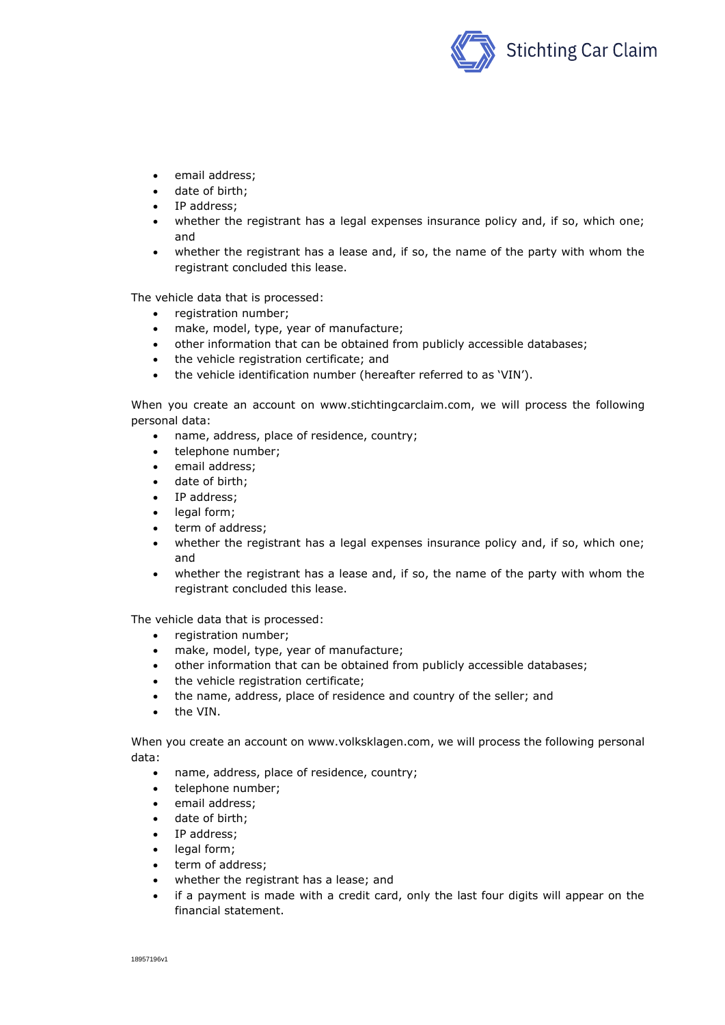

- email address;
- date of birth:
- IP address;
- whether the registrant has a legal expenses insurance policy and, if so, which one; and
- whether the registrant has a lease and, if so, the name of the party with whom the registrant concluded this lease.

The vehicle data that is processed:

- registration number;
- make, model, type, year of manufacture;
- other information that can be obtained from publicly accessible databases;
- the vehicle registration certificate; and
- the vehicle identification number (hereafter referred to as 'VIN').

When you create an account on www.stichtingcarclaim.com, we will process the following personal data:

- name, address, place of residence, country;
- telephone number;
- email address;
- date of birth;
- IP address;
- legal form;
- term of address;
- whether the registrant has a legal expenses insurance policy and, if so, which one; and
- whether the registrant has a lease and, if so, the name of the party with whom the registrant concluded this lease.

The vehicle data that is processed:

- registration number;
- make, model, type, year of manufacture;
- other information that can be obtained from publicly accessible databases;
- the vehicle registration certificate;
- the name, address, place of residence and country of the seller; and
- the VIN.

When you create an account on www.volksklagen.com, we will process the following personal data:

- name, address, place of residence, country;
- telephone number;
- email address;
- date of birth:
- IP address:
- legal form;
- term of address;
- whether the registrant has a lease; and
- if a payment is made with a credit card, only the last four digits will appear on the financial statement.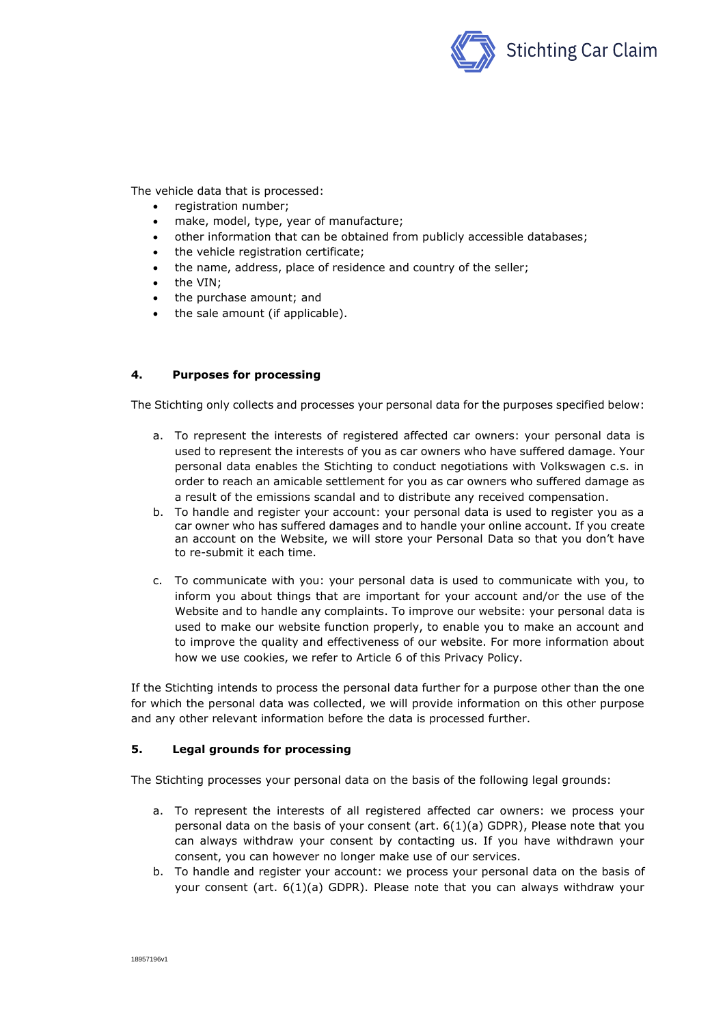

The vehicle data that is processed:

- registration number;
- make, model, type, year of manufacture;
- other information that can be obtained from publicly accessible databases;
- the vehicle registration certificate:
- the name, address, place of residence and country of the seller;
- the VIN;
- the purchase amount; and
- the sale amount (if applicable).

## **4. Purposes for processing**

The Stichting only collects and processes your personal data for the purposes specified below:

- a. To represent the interests of registered affected car owners: your personal data is used to represent the interests of you as car owners who have suffered damage. Your personal data enables the Stichting to conduct negotiations with Volkswagen c.s. in order to reach an amicable settlement for you as car owners who suffered damage as a result of the emissions scandal and to distribute any received compensation.
- b. To handle and register your account: your personal data is used to register you as a car owner who has suffered damages and to handle your online account. If you create an account on the Website, we will store your Personal Data so that you don't have to re-submit it each time.
- c. To communicate with you: your personal data is used to communicate with you, to inform you about things that are important for your account and/or the use of the Website and to handle any complaints. To improve our website: your personal data is used to make our website function properly, to enable you to make an account and to improve the quality and effectiveness of our website. For more information about how we use cookies, we refer to Article [6](#page-3-0) of this Privacy Policy.

If the Stichting intends to process the personal data further for a purpose other than the one for which the personal data was collected, we will provide information on this other purpose and any other relevant information before the data is processed further.

### **5. Legal grounds for processing**

The Stichting processes your personal data on the basis of the following legal grounds:

- a. To represent the interests of all registered affected car owners: we process your personal data on the basis of your consent (art. 6(1)(a) GDPR), Please note that you can always withdraw your consent by contacting us. If you have withdrawn your consent, you can however no longer make use of our services.
- b. To handle and register your account: we process your personal data on the basis of your consent (art. 6(1)(a) GDPR). Please note that you can always withdraw your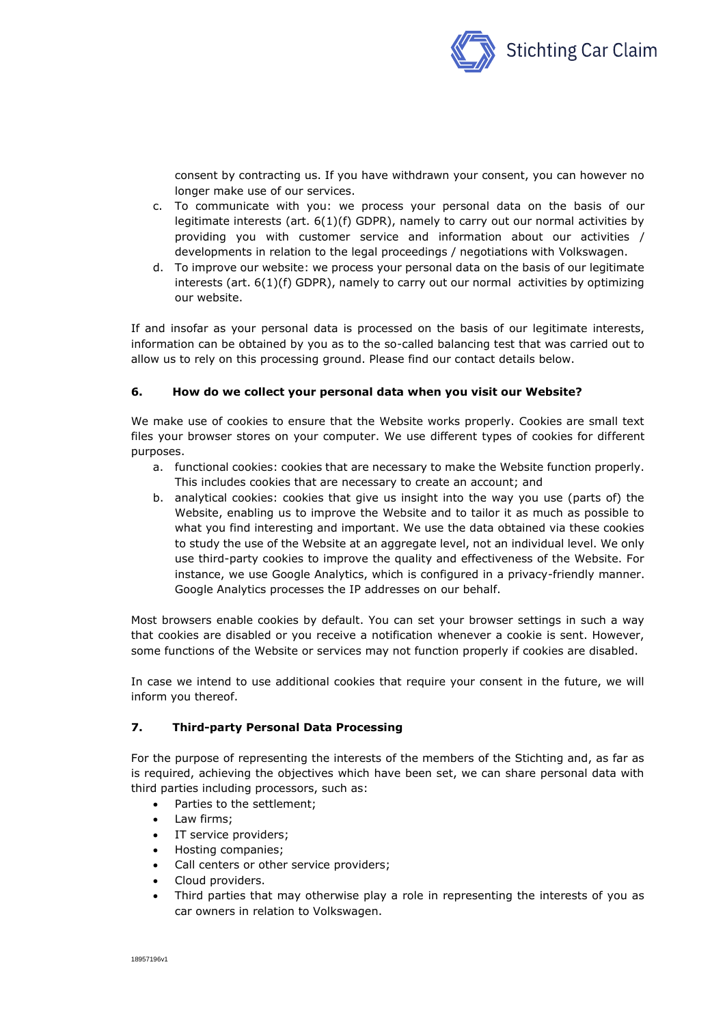

consent by contracting us. If you have withdrawn your consent, you can however no longer make use of our services.

- c. To communicate with you: we process your personal data on the basis of our legitimate interests (art.  $6(1)(f)$  GDPR), namely to carry out our normal activities by providing you with customer service and information about our activities / developments in relation to the legal proceedings / negotiations with Volkswagen.
- d. To improve our website: we process your personal data on the basis of our legitimate interests (art. 6(1)(f) GDPR), namely to carry out our normal activities by optimizing our website.

If and insofar as your personal data is processed on the basis of our legitimate interests, information can be obtained by you as to the so-called balancing test that was carried out to allow us to rely on this processing ground. Please find our contact details below.

## <span id="page-3-0"></span>**6. How do we collect your personal data when you visit our Website?**

We make use of cookies to ensure that the Website works properly. Cookies are small text files your browser stores on your computer. We use different types of cookies for different purposes.

- a. functional cookies: cookies that are necessary to make the Website function properly. This includes cookies that are necessary to create an account; and
- b. analytical cookies: cookies that give us insight into the way you use (parts of) the Website, enabling us to improve the Website and to tailor it as much as possible to what you find interesting and important. We use the data obtained via these cookies to study the use of the Website at an aggregate level, not an individual level. We only use third-party cookies to improve the quality and effectiveness of the Website. For instance, we use Google Analytics, which is configured in a privacy-friendly manner. Google Analytics processes the IP addresses on our behalf.

Most browsers enable cookies by default. You can set your browser settings in such a way that cookies are disabled or you receive a notification whenever a cookie is sent. However, some functions of the Website or services may not function properly if cookies are disabled.

In case we intend to use additional cookies that require your consent in the future, we will inform you thereof.

# **7. Third-party Personal Data Processing**

For the purpose of representing the interests of the members of the Stichting and, as far as is required, achieving the objectives which have been set, we can share personal data with third parties including processors, such as:

- Parties to the settlement;
- Law firms;
- IT service providers;
- Hosting companies;
- Call centers or other service providers;
- Cloud providers.
- Third parties that may otherwise play a role in representing the interests of you as car owners in relation to Volkswagen.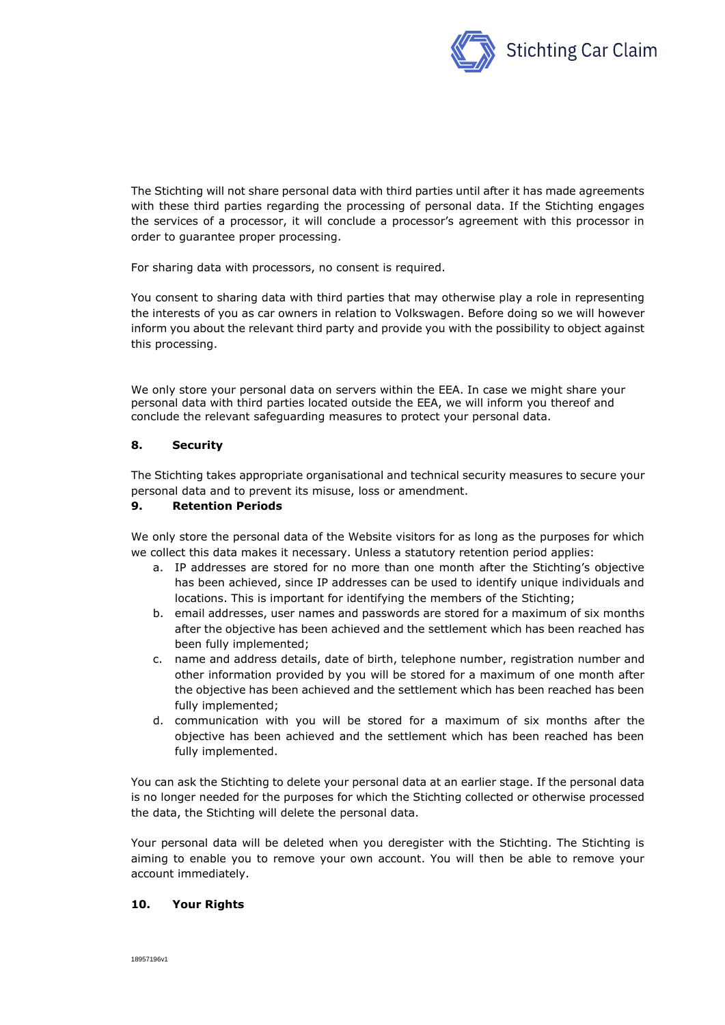

The Stichting will not share personal data with third parties until after it has made agreements with these third parties regarding the processing of personal data. If the Stichting engages the services of a processor, it will conclude a processor's agreement with this processor in order to guarantee proper processing.

For sharing data with processors, no consent is required.

You consent to sharing data with third parties that may otherwise play a role in representing the interests of you as car owners in relation to Volkswagen. Before doing so we will however inform you about the relevant third party and provide you with the possibility to object against this processing.

We only store your personal data on servers within the EEA. In case we might share your personal data with third parties located outside the EEA, we will inform you thereof and conclude the relevant safeguarding measures to protect your personal data.

## **8. Security**

The Stichting takes appropriate organisational and technical security measures to secure your personal data and to prevent its misuse, loss or amendment.

## **9. Retention Periods**

We only store the personal data of the Website visitors for as long as the purposes for which we collect this data makes it necessary. Unless a statutory retention period applies:

- a. IP addresses are stored for no more than one month after the Stichting's objective has been achieved, since IP addresses can be used to identify unique individuals and locations. This is important for identifying the members of the Stichting;
- b. email addresses, user names and passwords are stored for a maximum of six months after the objective has been achieved and the settlement which has been reached has been fully implemented;
- c. name and address details, date of birth, telephone number, registration number and other information provided by you will be stored for a maximum of one month after the objective has been achieved and the settlement which has been reached has been fully implemented;
- d. communication with you will be stored for a maximum of six months after the objective has been achieved and the settlement which has been reached has been fully implemented.

You can ask the Stichting to delete your personal data at an earlier stage. If the personal data is no longer needed for the purposes for which the Stichting collected or otherwise processed the data, the Stichting will delete the personal data.

Your personal data will be deleted when you deregister with the Stichting. The Stichting is aiming to enable you to remove your own account. You will then be able to remove your account immediately.

### **10. Your Rights**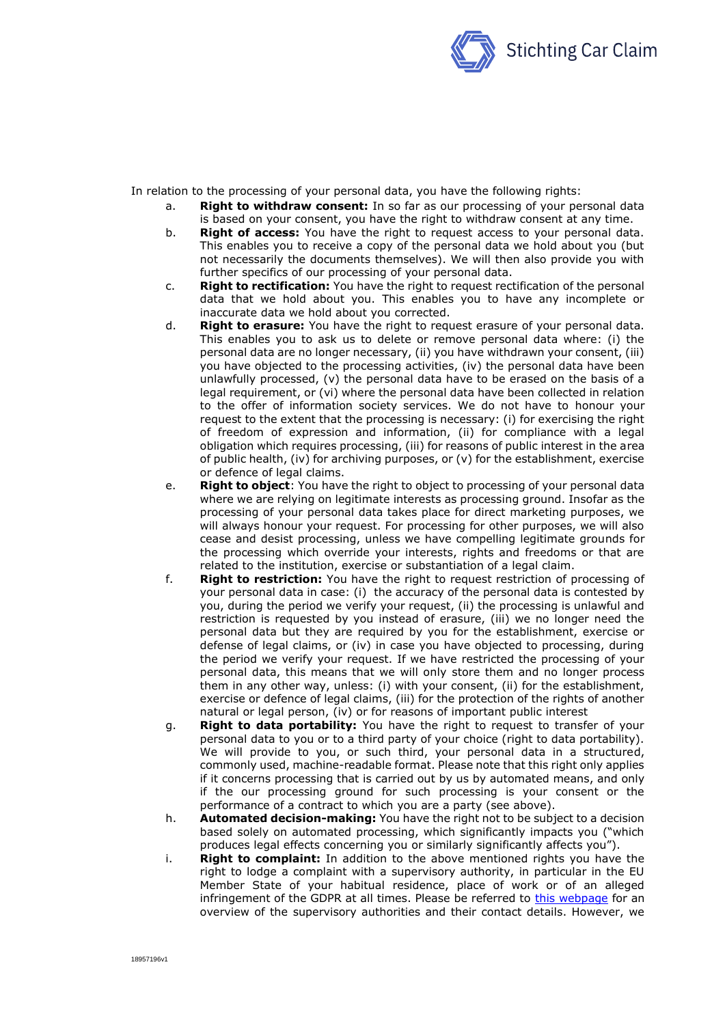

In relation to the processing of your personal data, you have the following rights:

- a. **Right to withdraw consent:** In so far as our processing of your personal data is based on your consent, you have the right to withdraw consent at any time.
- b. **Right of access:** You have the right to request access to your personal data. This enables you to receive a copy of the personal data we hold about you (but not necessarily the documents themselves). We will then also provide you with further specifics of our processing of your personal data.
- c. **Right to rectification:** You have the right to request rectification of the personal data that we hold about you. This enables you to have any incomplete or inaccurate data we hold about you corrected.
- d. **Right to erasure:** You have the right to request erasure of your personal data. This enables you to ask us to delete or remove personal data where: (i) the personal data are no longer necessary, (ii) you have withdrawn your consent, (iii) you have objected to the processing activities, (iv) the personal data have been unlawfully processed, (v) the personal data have to be erased on the basis of a legal requirement, or (vi) where the personal data have been collected in relation to the offer of information society services. We do not have to honour your request to the extent that the processing is necessary: (i) for exercising the right of freedom of expression and information, (ii) for compliance with a legal obligation which requires processing, (iii) for reasons of public interest in the area of public health, (iv) for archiving purposes, or (v) for the establishment, exercise or defence of legal claims.
- e. **Right to object**: You have the right to object to processing of your personal data where we are relying on legitimate interests as processing ground. Insofar as the processing of your personal data takes place for direct marketing purposes, we will always honour your request. For processing for other purposes, we will also cease and desist processing, unless we have compelling legitimate grounds for the processing which override your interests, rights and freedoms or that are related to the institution, exercise or substantiation of a legal claim.
- f. **Right to restriction:** You have the right to request restriction of processing of your personal data in case: (i) the accuracy of the personal data is contested by you, during the period we verify your request, (ii) the processing is unlawful and restriction is requested by you instead of erasure, (iii) we no longer need the personal data but they are required by you for the establishment, exercise or defense of legal claims, or (iv) in case you have objected to processing, during the period we verify your request. If we have restricted the processing of your personal data, this means that we will only store them and no longer process them in any other way, unless: (i) with your consent, (ii) for the establishment, exercise or defence of legal claims, (iii) for the protection of the rights of another natural or legal person, (iv) or for reasons of important public interest
- g. **Right to data portability:** You have the right to request to transfer of your personal data to you or to a third party of your choice (right to data portability). We will provide to you, or such third, your personal data in a structured, commonly used, machine-readable format. Please note that this right only applies if it concerns processing that is carried out by us by automated means, and only if the our processing ground for such processing is your consent or the performance of a contract to which you are a party (see above).
- h. **Automated decision-making:** You have the right not to be subject to a decision based solely on automated processing, which significantly impacts you ("which produces legal effects concerning you or similarly significantly affects you").
- i. **Right to complaint:** In addition to the above mentioned rights you have the right to lodge a complaint with a supervisory authority, in particular in the EU Member State of your habitual residence, place of work or of an alleged infringement of the GDPR at all times. Please be referred to [this webpage](https://edpb.europa.eu/about-edpb/board/members_en) for an overview of the supervisory authorities and their contact details. However, we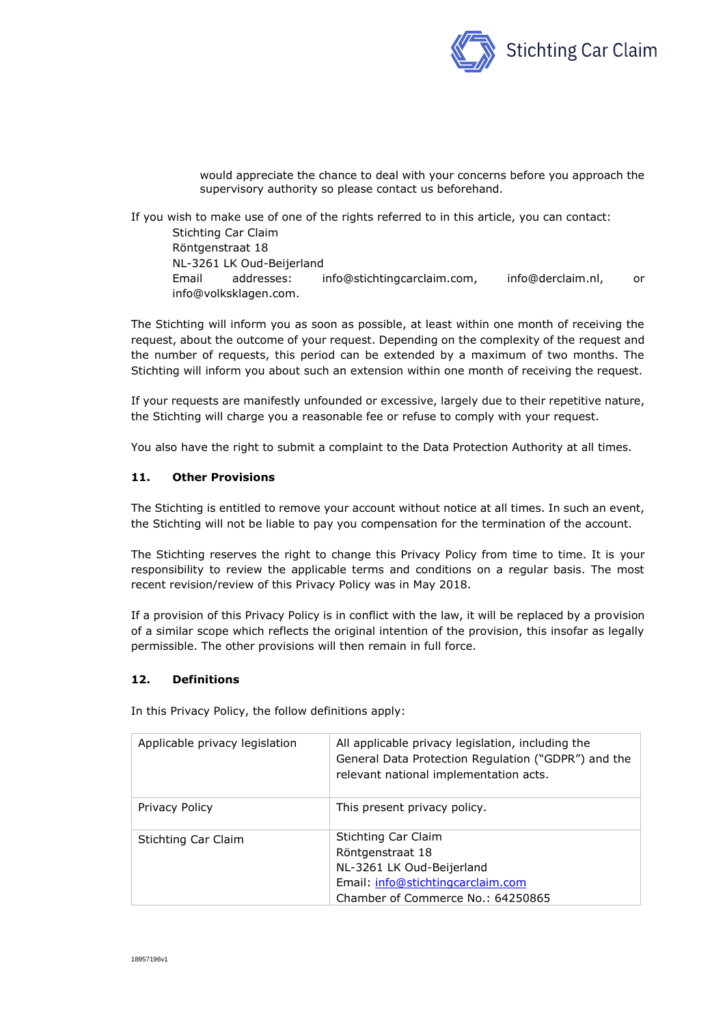

would appreciate the chance to deal with your concerns before you approach the supervisory authority so please contact us beforehand.

If you wish to make use of one of the rights referred to in this article, you can contact: Stichting Car Claim Röntgenstraat 18 NL-3261 LK Oud-Beijerland Email addresses: info@stichtingcarclaim.com, info@derclaim.nl, or info@volksklagen.com.

The Stichting will inform you as soon as possible, at least within one month of receiving the request, about the outcome of your request. Depending on the complexity of the request and the number of requests, this period can be extended by a maximum of two months. The Stichting will inform you about such an extension within one month of receiving the request.

If your requests are manifestly unfounded or excessive, largely due to their repetitive nature, the Stichting will charge you a reasonable fee or refuse to comply with your request.

You also have the right to submit a complaint to the Data Protection Authority at all times.

## **11. Other Provisions**

The Stichting is entitled to remove your account without notice at all times. In such an event, the Stichting will not be liable to pay you compensation for the termination of the account.

The Stichting reserves the right to change this Privacy Policy from time to time. It is your responsibility to review the applicable terms and conditions on a regular basis. The most recent revision/review of this Privacy Policy was in May 2018.

If a provision of this Privacy Policy is in conflict with the law, it will be replaced by a provision of a similar scope which reflects the original intention of the provision, this insofar as legally permissible. The other provisions will then remain in full force.

### **12. Definitions**

In this Privacy Policy, the follow definitions apply:

| Applicable privacy legislation | All applicable privacy legislation, including the<br>General Data Protection Regulation ("GDPR") and the<br>relevant national implementation acts.    |
|--------------------------------|-------------------------------------------------------------------------------------------------------------------------------------------------------|
| Privacy Policy                 | This present privacy policy.                                                                                                                          |
| Stichting Car Claim            | <b>Stichting Car Claim</b><br>Röntgenstraat 18<br>NL-3261 LK Oud-Beijerland<br>Email: info@stichtingcarclaim.com<br>Chamber of Commerce No.: 64250865 |